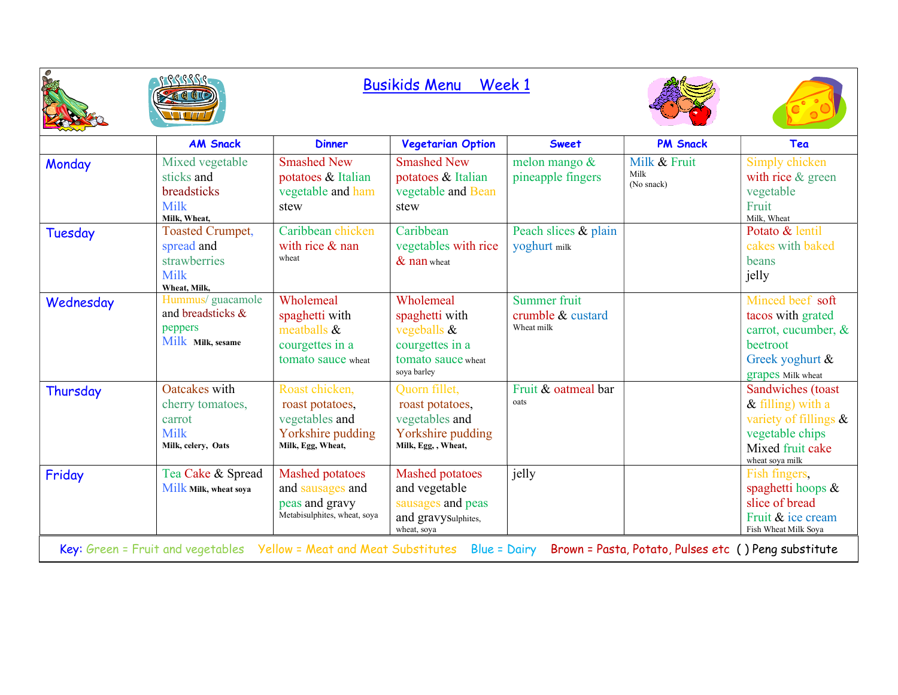|                                                                                                                                                        | RSSSS<br><b>Busikids Menu</b><br>Week 1                                              |                                                                                               |                                                                                                       |                                                 |                                    |                                                                                                                             |
|--------------------------------------------------------------------------------------------------------------------------------------------------------|--------------------------------------------------------------------------------------|-----------------------------------------------------------------------------------------------|-------------------------------------------------------------------------------------------------------|-------------------------------------------------|------------------------------------|-----------------------------------------------------------------------------------------------------------------------------|
|                                                                                                                                                        | <b>AM Snack</b>                                                                      | <b>Dinner</b>                                                                                 | <b>Vegetarian Option</b>                                                                              | <b>Sweet</b>                                    | <b>PM Snack</b>                    | Tea                                                                                                                         |
| Monday                                                                                                                                                 | Mixed vegetable<br>sticks and<br>breadsticks<br><b>Milk</b><br>Milk. Wheat.          | <b>Smashed New</b><br>potatoes & Italian<br>vegetable and ham<br>stew                         | <b>Smashed New</b><br>potatoes & Italian<br>vegetable and Bean<br>stew                                | melon mango &<br>pineapple fingers              | Milk & Fruit<br>Milk<br>(No snack) | Simply chicken<br>with rice & green<br>vegetable<br>Fruit<br>Milk. Wheat                                                    |
| Tuesday                                                                                                                                                | <b>Toasted Crumpet,</b><br>spread and<br>strawberries<br><b>Milk</b><br>Wheat, Milk, | Caribbean chicken<br>with rice $&$ nan<br>wheat                                               | Caribbean<br>vegetables with rice<br>$&$ nan wheat                                                    | Peach slices & plain<br>yoghurt milk            |                                    | Potato & lentil<br>cakes with baked<br>beans<br>jelly                                                                       |
| Wednesday                                                                                                                                              | Hummus/ guacamole<br>and breadsticks &<br>peppers<br>Milk Milk, sesame               | Wholemeal<br>spaghetti with<br>meatballs $\&$<br>courgettes in a<br>tomato sauce wheat        | Wholemeal<br>spaghetti with<br>vegeballs $\&$<br>courgettes in a<br>tomato sauce wheat<br>soya barley | Summer fruit<br>crumble & custard<br>Wheat milk |                                    | Minced beef soft<br>tacos with grated<br>carrot, cucumber, &<br>beetroot<br>Greek yoghurt &<br>grapes Milk wheat            |
| Thursday                                                                                                                                               | Oatcakes with<br>cherry tomatoes,<br>carrot<br><b>Milk</b><br>Milk, celery, Oats     | Roast chicken,<br>roast potatoes,<br>vegetables and<br>Yorkshire pudding<br>Milk, Egg, Wheat, | Quorn fillet,<br>roast potatoes,<br>vegetables and<br>Yorkshire pudding<br>Milk, Egg,, Wheat,         | Fruit & oatmeal bar<br>oats                     |                                    | Sandwiches (toast<br>$&$ filling) with a<br>variety of fillings &<br>vegetable chips<br>Mixed fruit cake<br>wheat soya milk |
| Friday                                                                                                                                                 | Tea Cake & Spread<br>Milk Milk, wheat soya                                           | Mashed potatoes<br>and sausages and<br>peas and gravy<br>Metabisulphites, wheat, soya         | <b>Mashed potatoes</b><br>and vegetable<br>sausages and peas<br>and gravySulphites,<br>wheat, sova    | jelly                                           |                                    | Fish fingers,<br>spaghetti hoops $\&$<br>slice of bread<br>Fruit & ice cream<br>Fish Wheat Milk Sova                        |
| Yellow = Meat and Meat Substitutes<br><b>Blue = Dairy</b><br>Key: Green = Fruit and vegetables<br>Brown = Pasta, Potato, Pulses etc () Peng substitute |                                                                                      |                                                                                               |                                                                                                       |                                                 |                                    |                                                                                                                             |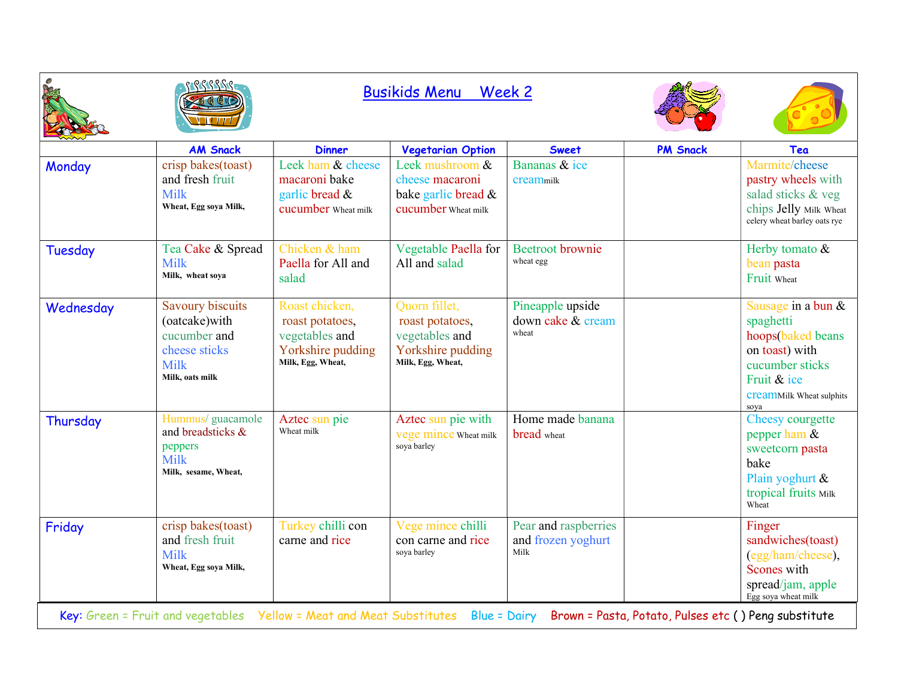|                |                                                                                                                                                                   | <b>Busikids Menu Week 2</b>                                                                   |                                                                                              |                                                    |                 |                                                                                                                                                                     |
|----------------|-------------------------------------------------------------------------------------------------------------------------------------------------------------------|-----------------------------------------------------------------------------------------------|----------------------------------------------------------------------------------------------|----------------------------------------------------|-----------------|---------------------------------------------------------------------------------------------------------------------------------------------------------------------|
|                | <b>AM Snack</b>                                                                                                                                                   | <b>Dinner</b>                                                                                 | <b>Vegetarian Option</b>                                                                     | <b>Sweet</b>                                       | <b>PM Snack</b> | Tea                                                                                                                                                                 |
| Monday         | crisp bakes(toast)<br>and fresh fruit<br><b>Milk</b><br>Wheat, Egg soya Milk,                                                                                     | Leek ham & cheese<br>macaroni bake<br>garlic bread &<br>cucumber Wheat milk                   | Leek mushroom &<br>cheese macaroni<br>bake garlic bread &<br>cucumber Wheat milk             | Bananas & ice<br>creammilk                         |                 | Marmite/cheese<br>pastry wheels with<br>salad sticks & veg<br>chips Jelly Milk Wheat<br>celery wheat barley oats rye                                                |
| <b>Tuesday</b> | Tea Cake & Spread<br><b>Milk</b><br>Milk, wheat soya                                                                                                              | Chicken & ham<br>Paella for All and<br>salad                                                  | Vegetable Paella for<br>All and salad                                                        | <b>Beetroot</b> brownie<br>wheat egg               |                 | Herby tomato &<br>bean pasta<br>Fruit Wheat                                                                                                                         |
| Wednesday      | <b>Savoury biscuits</b><br>(oatcake) with<br>cucumber and<br>cheese sticks<br><b>Milk</b><br>Milk, oats milk                                                      | Roast chicken,<br>roast potatoes,<br>vegetables and<br>Yorkshire pudding<br>Milk, Egg, Wheat, | Quorn fillet,<br>roast potatoes,<br>vegetables and<br>Yorkshire pudding<br>Milk, Egg, Wheat, | Pineapple upside<br>down cake & cream<br>wheat     |                 | Sausage in a bun &<br>spaghetti<br>hoops(baked beans<br>on toast) with<br>cucumber sticks<br>Fruit & ice<br><b>CreamMilk Wheat sulphits</b><br>soya                 |
| Thursday       | Hummus/ guacamole<br>and breadsticks &<br>peppers<br><b>Milk</b><br>Milk, sesame, Wheat,                                                                          | Aztec sun pie<br>Wheat milk                                                                   | Aztec sun pie with<br>vege mince Wheat milk<br>soya barley                                   | Home made banana<br>bread wheat                    |                 | Cheesy courgette<br>pepper ham &<br>sweetcorn pasta<br>bake<br>Plain yoghurt &<br>tropical fruits Milk<br>Wheat                                                     |
| Friday         | crisp bakes(toast)<br>and fresh fruit<br>Milk<br>Wheat, Egg soya Milk,<br>Key: Green = Fruit and vegetables    Yellow = Meat and Meat Substitutes    Blue = Dairy | Turkey chilli con<br>carne and rice                                                           | Vege mince chilli<br>con carne and rice<br>soya barley                                       | Pear and raspberries<br>and frozen yoghurt<br>Milk |                 | Finger<br>sandwiches(toast)<br>(egg/ham/cheese),<br>Scones with<br>spread/jam, apple<br>Egg soya wheat milk<br>Brown = Pasta, Potato, Pulses etc () Peng substitute |